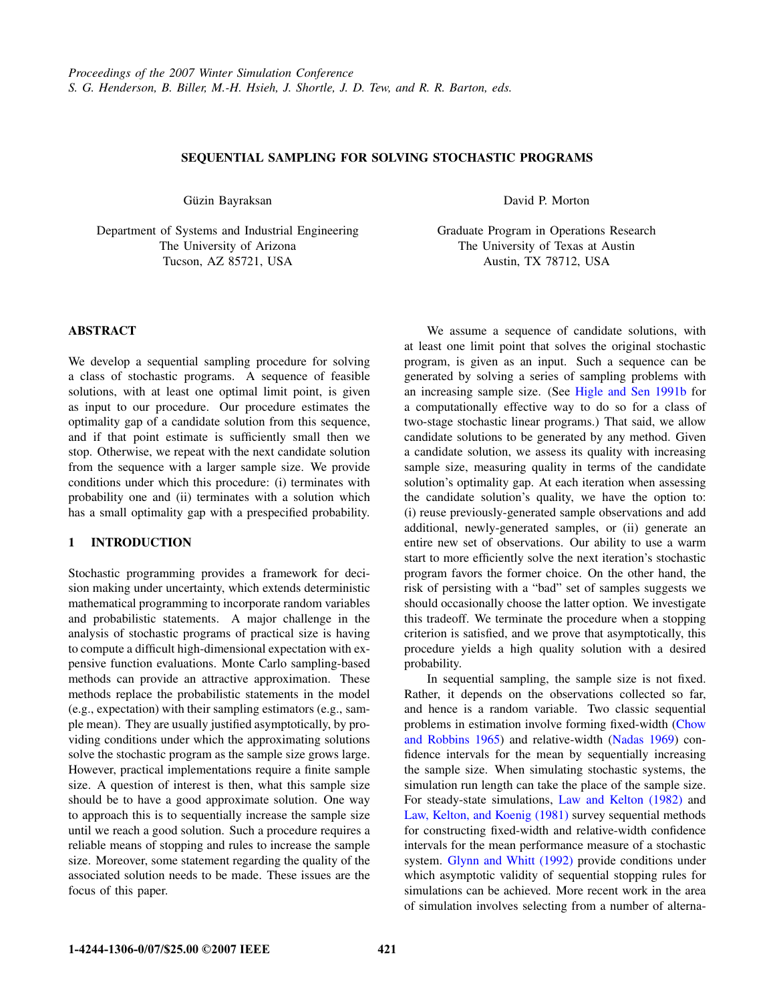## SEQUENTIAL SAMPLING FOR SOLVING STOCHASTIC PROGRAMS

Güzin Bayraksan

Department of Systems and Industrial Engineering The University of Arizona Tucson, AZ 85721, USA

ABSTRACT

We develop a sequential sampling procedure for solving a class of stochastic programs. A sequence of feasible solutions, with at least one optimal limit point, is given as input to our procedure. Our procedure estimates the optimality gap of a candidate solution from this sequence, and if that point estimate is sufficiently small then we stop. Otherwise, we repeat with the next candidate solution from the sequence with a larger sample size. We provide conditions under which this procedure: (i) terminates with probability one and (ii) terminates with a solution which has a small optimality gap with a prespecified probability.

# 1 INTRODUCTION

Stochastic programming provides a framework for decision making under uncertainty, which extends deterministic mathematical programming to incorporate random variables and probabilistic statements. A major challenge in the analysis of stochastic programs of practical size is having to compute a difficult high-dimensional expectation with expensive function evaluations. Monte Carlo sampling-based methods can provide an attractive approximation. These methods replace the probabilistic statements in the model (e.g., expectation) with their sampling estimators (e.g., sample mean). They are usually justified asymptotically, by providing conditions under which the approximating solutions solve the stochastic program as the sample size grows large. However, practical implementations require a finite sample size. A question of interest is then, what this sample size should be to have a good approximate solution. One way to approach this is to sequentially increase the sample size until we reach a good solution. Such a procedure requires a reliable means of stopping and rules to increase the sample size. Moreover, some statement regarding the quality of the associated solution needs to be made. These issues are the focus of this paper.

David P. Morton

Graduate Program in Operations Research The University of Texas at Austin Austin, TX 78712, USA

We assume a sequence of candidate solutions, with at least one limit point that solves the original stochastic program, is given as an input. Such a sequence can be generated by solving a series of sampling problems with an increasing sample size. (See [Higle and Sen 1991b](#page-8-0) for a computationally effective way to do so for a class of two-stage stochastic linear programs.) That said, we allow candidate solutions to be generated by any method. Given a candidate solution, we assess its quality with increasing sample size, measuring quality in terms of the candidate solution's optimality gap. At each iteration when assessing the candidate solution's quality, we have the option to: (i) reuse previously-generated sample observations and add additional, newly-generated samples, or (ii) generate an entire new set of observations. Our ability to use a warm start to more efficiently solve the next iteration's stochastic program favors the former choice. On the other hand, the risk of persisting with a "bad" set of samples suggests we should occasionally choose the latter option. We investigate this tradeoff. We terminate the procedure when a stopping criterion is satisfied, and we prove that asymptotically, this procedure yields a high quality solution with a desired probability.

In sequential sampling, the sample size is not fixed. Rather, it depends on the observations collected so far, and hence is a random variable. Two classic sequential problems in estimation involve forming fixed-width [\(Chow](#page-7-0) [and Robbins 1965\)](#page-7-0) and relative-width [\(Nadas 1969\)](#page-8-1) confidence intervals for the mean by sequentially increasing the sample size. When simulating stochastic systems, the simulation run length can take the place of the sample size. For steady-state simulations, [Law and Kelton \(1982\)](#page-8-2) and [Law, Kelton, and Koenig \(1981\)](#page-8-3) survey sequential methods for constructing fixed-width and relative-width confidence intervals for the mean performance measure of a stochastic system. [Glynn and Whitt \(1992\)](#page-7-1) provide conditions under which asymptotic validity of sequential stopping rules for simulations can be achieved. More recent work in the area of simulation involves selecting from a number of alterna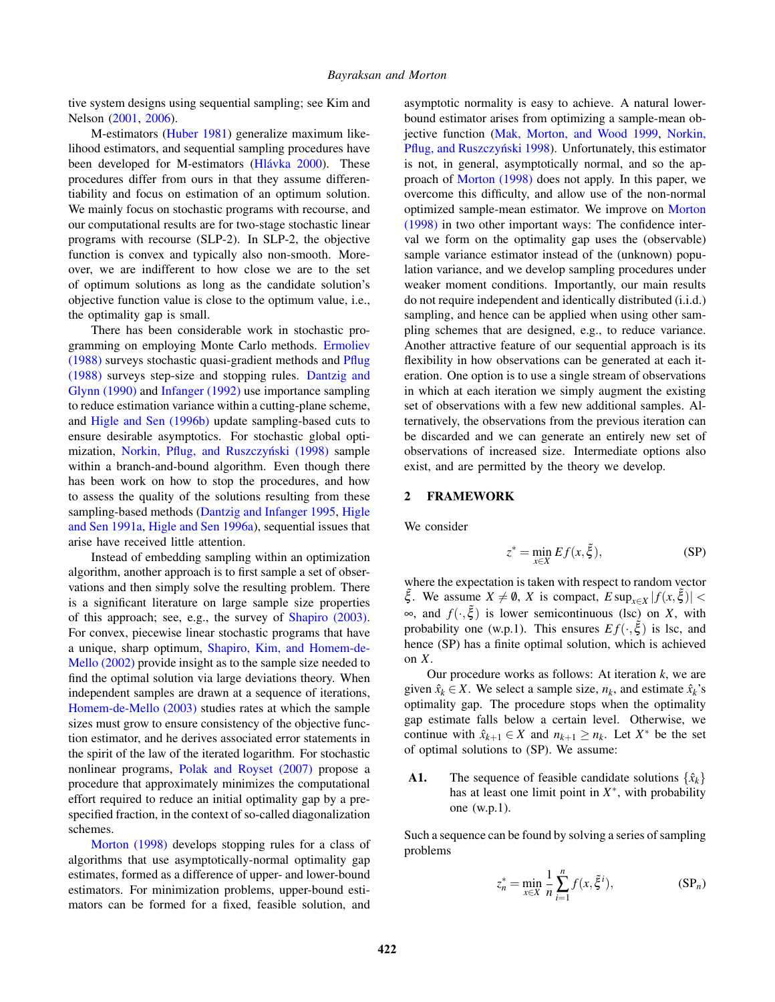tive system designs using sequential sampling; see Kim and Nelson [\(2001,](#page-8-4) [2006\)](#page-8-5).

M-estimators [\(Huber 1981\)](#page-8-6) generalize maximum likelihood estimators, and sequential sampling procedures have been developed for M-estimators (Hlávka 2000). These procedures differ from ours in that they assume differentiability and focus on estimation of an optimum solution. We mainly focus on stochastic programs with recourse, and our computational results are for two-stage stochastic linear programs with recourse (SLP-2). In SLP-2, the objective function is convex and typically also non-smooth. Moreover, we are indifferent to how close we are to the set of optimum solutions as long as the candidate solution's objective function value is close to the optimum value, i.e., the optimality gap is small.

There has been considerable work in stochastic programming on employing Monte Carlo methods. [Ermoliev](#page-7-2) [\(1988\)](#page-7-2) surveys stochastic quasi-gradient methods and [Pflug](#page-8-8) [\(1988\)](#page-8-8) surveys step-size and stopping rules. [Dantzig and](#page-7-3) [Glynn \(1990\)](#page-7-3) and [Infanger \(1992\)](#page-8-9) use importance sampling to reduce estimation variance within a cutting-plane scheme, and [Higle and Sen \(1996b\)](#page-8-10) update sampling-based cuts to ensure desirable asymptotics. For stochastic global optimization, Norkin, Pflug, and Ruszczyński (1998) sample within a branch-and-bound algorithm. Even though there has been work on how to stop the procedures, and how to assess the quality of the solutions resulting from these sampling-based methods [\(Dantzig and Infanger 1995,](#page-7-4) [Higle](#page-8-12) [and Sen 1991a,](#page-8-12) [Higle and Sen 1996a\)](#page-8-13), sequential issues that arise have received little attention.

Instead of embedding sampling within an optimization algorithm, another approach is to first sample a set of observations and then simply solve the resulting problem. There is a significant literature on large sample size properties of this approach; see, e.g., the survey of [Shapiro \(2003\).](#page-8-14) For convex, piecewise linear stochastic programs that have a unique, sharp optimum, [Shapiro, Kim, and Homem-de-](#page-8-15)[Mello \(2002\)](#page-8-15) provide insight as to the sample size needed to find the optimal solution via large deviations theory. When independent samples are drawn at a sequence of iterations, [Homem-de-Mello \(2003\)](#page-8-16) studies rates at which the sample sizes must grow to ensure consistency of the objective function estimator, and he derives associated error statements in the spirit of the law of the iterated logarithm. For stochastic nonlinear programs, [Polak and Royset \(2007\)](#page-8-17) propose a procedure that approximately minimizes the computational effort required to reduce an initial optimality gap by a prespecified fraction, in the context of so-called diagonalization schemes.

[Morton \(1998\)](#page-8-18) develops stopping rules for a class of algorithms that use asymptotically-normal optimality gap estimates, formed as a difference of upper- and lower-bound estimators. For minimization problems, upper-bound estimators can be formed for a fixed, feasible solution, and

asymptotic normality is easy to achieve. A natural lowerbound estimator arises from optimizing a sample-mean objective function [\(Mak, Morton, and Wood 1999,](#page-8-19) [Norkin,](#page-8-11) Pflug, and Ruszczyński 1998). Unfortunately, this estimator is not, in general, asymptotically normal, and so the approach of [Morton \(1998\)](#page-8-18) does not apply. In this paper, we overcome this difficulty, and allow use of the non-normal optimized sample-mean estimator. We improve on [Morton](#page-8-18) [\(1998\)](#page-8-18) in two other important ways: The confidence interval we form on the optimality gap uses the (observable) sample variance estimator instead of the (unknown) population variance, and we develop sampling procedures under weaker moment conditions. Importantly, our main results do not require independent and identically distributed (i.i.d.) sampling, and hence can be applied when using other sampling schemes that are designed, e.g., to reduce variance. Another attractive feature of our sequential approach is its flexibility in how observations can be generated at each iteration. One option is to use a single stream of observations in which at each iteration we simply augment the existing set of observations with a few new additional samples. Alternatively, the observations from the previous iteration can be discarded and we can generate an entirely new set of observations of increased size. Intermediate options also exist, and are permitted by the theory we develop.

## <span id="page-1-1"></span>2 FRAMEWORK

We consider

<span id="page-1-0"></span>
$$
z^* = \min_{x \in X} E f(x, \tilde{\xi}), \tag{SP}
$$

where the expectation is taken with respect to random vector  $\tilde{\xi}$ . We assume  $X \neq \emptyset$ , *X* is compact,  $E \sup_{x \in X} |f(x, \tilde{\xi})|$  <  $\infty$ , and  $f(\cdot, \xi)$  is lower semicontinuous (lsc) on *X*, with probability one (w.p.1). This ensures  $Ef(\cdot, \tilde{\xi})$  is lsc, and hence (SP) has a finite optimal solution, which is achieved on *X*.

Our procedure works as follows: At iteration *k*, we are given  $\hat{x}_k \in X$ . We select a sample size,  $n_k$ , and estimate  $\hat{x}_k$ 's optimality gap. The procedure stops when the optimality gap estimate falls below a certain level. Otherwise, we continue with  $\hat{x}_{k+1} \in X$  and  $n_{k+1} \geq n_k$ . Let  $X^*$  be the set of optimal solutions to (SP). We assume:

A1. The sequence of feasible candidate solutions  $\{\hat{x}_k\}$ has at least one limit point in  $X^*$ , with probability one (w.p.1).

Such a sequence can be found by solving a series of sampling problems

$$
z_n^* = \min_{x \in X} \frac{1}{n} \sum_{i=1}^n f(x, \tilde{\xi}^i),
$$
 (SP<sub>n</sub>)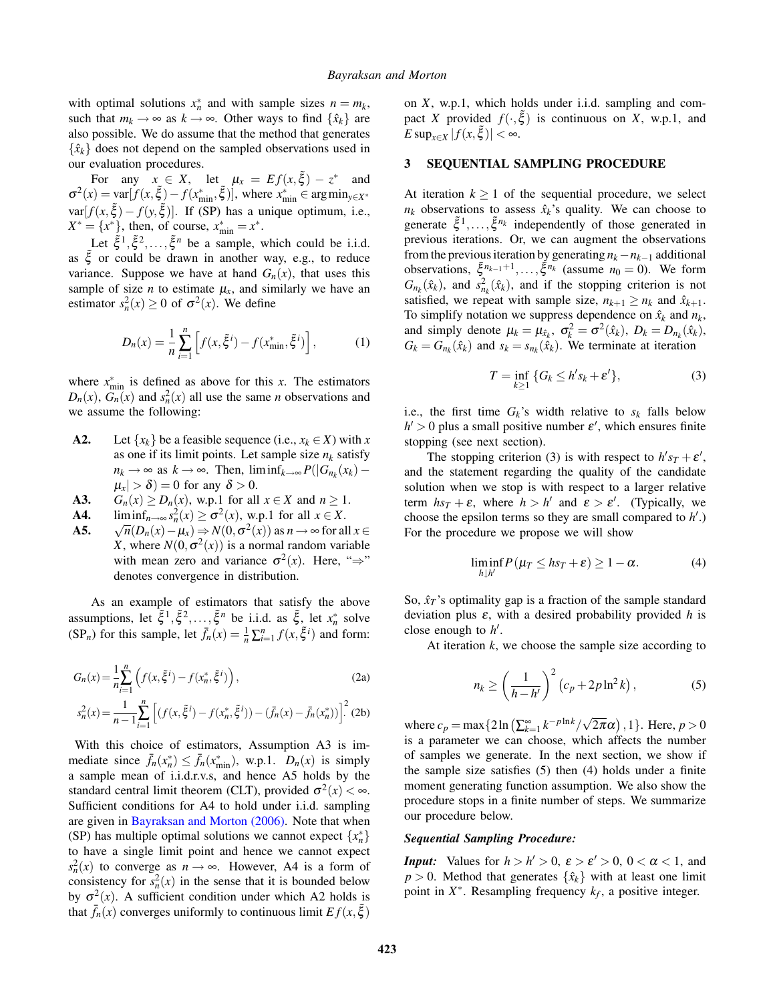with optimal solutions  $x_n^*$  and with sample sizes  $n = m_k$ , such that  $m_k \to \infty$  as  $k \to \infty$ . Other ways to find  $\{\hat{x}_k\}$  are also possible. We do assume that the method that generates  ${x<sub>k</sub>}$  does not depend on the sampled observations used in our evaluation procedures.

For any  $x \in X$ , let  $\mu_x = E f(x, \tilde{\xi}) - z^*$  and  $\sigma^2(x) = \text{var}[f(x, \tilde{\xi}) - f(x_{\text{min}}^*, \tilde{\xi})]$ , where  $x_{\text{min}}^* \in \arg \min_{y \in X^*}$  $var[f(x,\tilde{\xi})-f(y,\tilde{\xi})]$ . If (SP) has a unique optimum, i.e.,  $X^* = \{x^*\}\text{, then, of course, } x^*_{\text{min}} = x^*.$ 

Let  $\tilde{\xi}^1$ ,  $\tilde{\xi}^2$ ,...,  $\tilde{\xi}^n$  be a sample, which could be i.i.d. as  $\xi$  or could be drawn in another way, e.g., to reduce variance. Suppose we have at hand  $G_n(x)$ , that uses this sample of size *n* to estimate  $\mu_x$ , and similarly we have an estimator  $s_n^2(x) \ge 0$  of  $\sigma^2(x)$ . We define

$$
D_n(x) = \frac{1}{n} \sum_{i=1}^n \left[ f(x, \tilde{\xi}^i) - f(x_{\min}^*, \tilde{\xi}^i) \right],
$$
 (1)

where  $x_{\min}^*$  is defined as above for this *x*. The estimators  $D_n(x)$ ,  $G_n(x)$  and  $s_n^2(x)$  all use the same *n* observations and we assume the following:

- **A2.** Let  $\{x_k\}$  be a feasible sequence (i.e.,  $x_k \in X$ ) with x as one if its limit points. Let sample size  $n_k$  satisfy  $n_k \to \infty$  as  $k \to \infty$ . Then, liminf<sub> $k \to \infty$ </sub>  $P(|G_{n_k}(x_k) |\mu_x| > \delta$  = 0 for any  $\delta > 0$ .
- A3.  $G_n(x) \ge D_n(x)$ , w.p.1 for all  $x \in X$  and  $n \ge 1$ .
- A4. liminf<sub>n→∞</sub> $s_n^2(x) \ge \sigma^2(x)$ , w.p.1 for all  $x \in X$ . A4.<br>A5.
- $\overline{n}(D_n(x) \mu_x) \Rightarrow N(0, \sigma^2(x))$  as  $n \to \infty$  for all  $x \in$ X, where  $N(0, \sigma^2(x))$  is a normal random variable with mean zero and variance  $\sigma^2(x)$ . Here, " $\Rightarrow$ " denotes convergence in distribution.

As an example of estimators that satisfy the above assumptions, let  $\tilde{\xi}^1, \tilde{\xi}^2, \ldots, \tilde{\xi}^n$  be i.i.d. as  $\tilde{\xi}$ , let  $x_n^*$  solve (SP<sub>n</sub>) for this sample, let  $\bar{f}_n(x) = \frac{1}{n} \sum_{i=1}^n f(x, \tilde{\xi}^i)$  and form:

<span id="page-2-4"></span>
$$
G_n(x) = \frac{1}{n} \sum_{i=1}^n \left( f(x, \tilde{\xi}^i) - f(x_n^*, \tilde{\xi}^i) \right),
$$
 (2a)  

$$
s_n^2(x) = \frac{1}{n-1} \sum_{i=1}^n \left[ (f(x, \tilde{\xi}^i) - f(x_n^*, \tilde{\xi}^i)) - (\bar{f}_n(x) - \bar{f}_n(x_n^*)) \right]^2
$$
 (2b)

With this choice of estimators, Assumption A3 is immediate since  $\bar{f}_n(x_n^*) \leq \bar{f}_n(x_{\min}^*)$ , w.p.1.  $D_n(x)$  is simply a sample mean of i.i.d.r.v.s, and hence A5 holds by the standard central limit theorem (CLT), provided  $\sigma^2(x) < \infty$ . Sufficient conditions for A4 to hold under i.i.d. sampling are given in [Bayraksan and Morton \(2006\).](#page-7-5) Note that when (SP) has multiple optimal solutions we cannot expect  $\{x_n^*\}$ to have a single limit point and hence we cannot expect  $s_n^2(x)$  to converge as  $n \to \infty$ . However, A4 is a form of consistency for  $s_n^2(x)$  in the sense that it is bounded below by  $\sigma^2(x)$ . A sufficient condition under which A2 holds is that  $\bar{f}_n(x)$  converges uniformly to continuous limit  $Ef(x, \tilde{\xi})$ 

on *X*, w.p.1, which holds under i.i.d. sampling and compact *X* provided  $f(\cdot, \tilde{\xi})$  is continuous on *X*, w.p.1, and  $E \sup_{x \in X} |f(x, \tilde{\xi})| < \infty$ .

## <span id="page-2-3"></span>3 SEQUENTIAL SAMPLING PROCEDURE

At iteration  $k \geq 1$  of the sequential procedure, we select  $n_k$  observations to assess  $\hat{x}_k$ 's quality. We can choose to generate  $\tilde{\xi}^1, \ldots, \tilde{\xi}^{n_k}$  independently of those generated in previous iterations. Or, we can augment the observations from the previous iteration by generating  $n_k - n_{k-1}$  additional observations,  $\tilde{\xi}^{n_{k-1}+1}, \ldots, \tilde{\xi}^{n_k}$  (assume  $n_0 = 0$ ). We form  $G_{n_k}(\hat{x}_k)$ , and  $s_{n_k}^2(\hat{x}_k)$ , and if the stopping criterion is not satisfied, we repeat with sample size,  $n_{k+1} \geq n_k$  and  $\hat{x}_{k+1}$ . To simplify notation we suppress dependence on  $\hat{x}_k$  and  $n_k$ , and simply denote  $\mu_k = \mu_{\hat{x}_k}$ ,  $\sigma_k^2 = \sigma^2(\hat{x}_k)$ ,  $D_k = D_{n_k}(\hat{x}_k)$ ,  $G_k = G_{n_k}(\hat{x}_k)$  and  $s_k = s_{n_k}(\hat{x}_k)$ . We terminate at iteration

<span id="page-2-0"></span>
$$
T = \inf_{k \ge 1} \{ G_k \le h's_k + \varepsilon' \},\tag{3}
$$

i.e., the first time  $G_k$ 's width relative to  $s_k$  falls below  $h' > 0$  plus a small positive number  $\varepsilon'$ , which ensures finite stopping (see next section).

The stopping criterion [\(3\)](#page-2-0) is with respect to  $h's_T + \varepsilon'$ , and the statement regarding the quality of the candidate solution when we stop is with respect to a larger relative term  $hs_T + \varepsilon$ , where  $h > h'$  and  $\varepsilon > \varepsilon'$ . (Typically, we choose the epsilon terms so they are small compared to  $h'$ .) For the procedure we propose we will show

<span id="page-2-2"></span>
$$
\liminf_{h \downarrow h'} P(\mu_T \leq h s_T + \varepsilon) \geq 1 - \alpha. \tag{4}
$$

So,  $\hat{x}_T$ 's optimality gap is a fraction of the sample standard deviation plus ε, with a desired probability provided *h* is close enough to  $h'$ .

At iteration  $k$ , we choose the sample size according to

<span id="page-2-1"></span>
$$
n_k \ge \left(\frac{1}{h-h'}\right)^2 \left(c_p + 2p\ln^2 k\right),\tag{5}
$$

where  $c_p = \max\{2\ln\left(\sum_{k=1}^{\infty} k^{-p\ln k}/\sqrt{2\pi}\alpha\right), 1\}$ . Here,  $p > 0$ is a parameter we can choose, which affects the number of samples we generate. In the next section, we show if the sample size satisfies [\(5\)](#page-2-1) then [\(4\)](#page-2-2) holds under a finite moment generating function assumption. We also show the procedure stops in a finite number of steps. We summarize our procedure below.

## *Sequential Sampling Procedure:*

*Input:* Values for  $h > h' > 0$ ,  $\varepsilon > \varepsilon' > 0$ ,  $0 < \alpha < 1$ , and  $p > 0$ . Method that generates  $\{\hat{x}_k\}$  with at least one limit point in  $X^*$ . Resampling frequency  $k_f$ , a positive integer.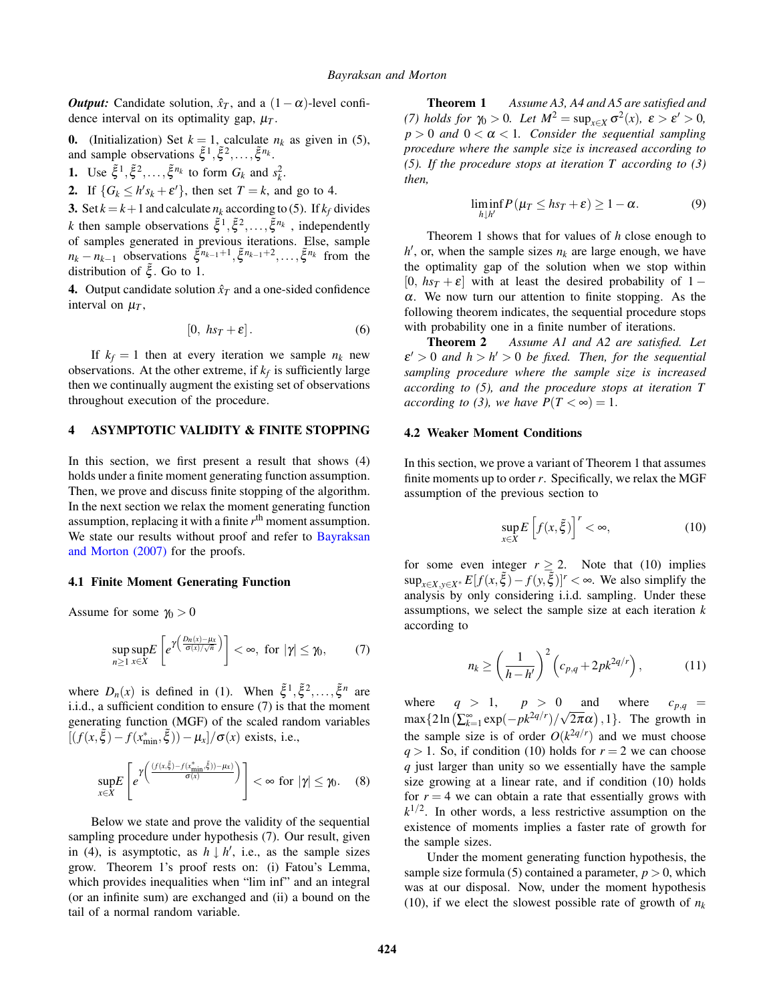*Output:* Candidate solution,  $\hat{x}_T$ , and a  $(1-\alpha)$ -level confidence interval on its optimality gap,  $\mu_T$ .

**0.** (Initialization) Set  $k = 1$ , calculate  $n_k$  as given in [\(5\)](#page-2-1), and sample observations  $\tilde{\xi}^1, \tilde{\xi}^2, \ldots, \tilde{\xi}^{n_k}$ .

**1.** Use  $\xi^1, \xi^2, \ldots, \xi^{n_k}$  to form  $G_k$  and  $s_k^2$ .

2. If  $\{G_k \le h's_k + \varepsilon'\}$ , then set  $T = k$ , and go to 4.

**3.** Set  $k = k+1$  and calculate  $n_k$  according to [\(5\)](#page-2-1). If  $k_f$  divides *k* then sample observations  $\tilde{\xi}^1, \tilde{\xi}^2, \dots, \tilde{\xi}^{n_k}$ , independently of samples generated in previous iterations. Else, sample  $n_k - n_{k-1}$  observations  $\tilde{\xi}^{n_{k-1}+1}, \tilde{\xi}^{n_{k-1}+2}, \ldots, \tilde{\xi}^{n_k}$  from the distribution of  $\tilde{\xi}$ . Go to 1.

4. Output candidate solution  $\hat{x}_T$  and a one-sided confidence interval on  $\mu$ <sup>*T*</sup>,

$$
[0, hs_T + \varepsilon]. \tag{6}
$$

If  $k_f = 1$  then at every iteration we sample  $n_k$  new observations. At the other extreme, if  $k_f$  is sufficiently large then we continually augment the existing set of observations throughout execution of the procedure.

## 4 ASYMPTOTIC VALIDITY & FINITE STOPPING

In this section, we first present a result that shows [\(4\)](#page-2-2) holds under a finite moment generating function assumption. Then, we prove and discuss finite stopping of the algorithm. In the next section we relax the moment generating function assumption, replacing it with a finite *r* th moment assumption. We state our results without proof and refer to [Bayraksan](#page-7-6) [and Morton \(2007\)](#page-7-6) for the proofs.

## 4.1 Finite Moment Generating Function

Assume for some  $\gamma_0 > 0$ 

<span id="page-3-0"></span>
$$
\sup_{n\geq 1}\sup_{x\in X}\mathbb{E}\left[e^{\gamma\left(\frac{D_n(x)-\mu_X}{\sigma(x)/\sqrt{n}}\right)}\right]<\infty,\ \ \text{for}\ |\gamma|\leq \gamma_0,\tag{7}
$$

where  $D_n(x)$  is defined in [\(1\)](#page-1-0). When  $\tilde{\xi}^1, \tilde{\xi}^2, \ldots, \tilde{\xi}^n$  are i.i.d., a sufficient condition to ensure [\(7\)](#page-3-0) is that the moment generating function (MGF) of the scaled random variables  $[(f(x, \tilde{\xi}) - f(x_{\min}^*, \tilde{\xi})) - \mu_x]/\sigma(x)$  exists, i.e.,

<span id="page-3-4"></span>
$$
\sup_{x\in X}\left[e^{\gamma\left(\frac{(f(x,\xi)-f(x_{\min}^*,\xi))-\mu_x)}{\sigma(x)}\right)}\right]<\infty \text{ for } |\gamma|\leq \gamma_0. \quad (8)
$$

<span id="page-3-1"></span>Below we state and prove the validity of the sequential sampling procedure under hypothesis [\(7\)](#page-3-0). Our result, given in [\(4\)](#page-2-2), is asymptotic, as  $h \downarrow h'$ , i.e., as the sample sizes grow. Theorem [1'](#page-3-1)s proof rests on: (i) Fatou's Lemma, which provides inequalities when "lim inf" and an integral (or an infinite sum) are exchanged and (ii) a bound on the tail of a normal random variable.

Theorem 1 *Assume A3, A4 and A5 are satisfied and [\(7\)](#page-3-0) holds for*  $\gamma_0 > 0$ *. Let*  $M^2 = \sup_{x \in X} \sigma^2(x)$ *,*  $\varepsilon > \varepsilon' > 0$ *,*  $p > 0$  *and*  $0 < \alpha < 1$ *. Consider the sequential sampling procedure where the sample size is increased according to [\(5\)](#page-2-1). If the procedure stops at iteration T according to [\(3\)](#page-2-0) then,*

$$
\liminf_{h \downarrow h'} P(\mu_T \leq h s_T + \varepsilon) \geq 1 - \alpha. \tag{9}
$$

Theorem [1](#page-3-1) shows that for values of *h* close enough to  $h'$ , or, when the sample sizes  $n_k$  are large enough, we have the optimality gap of the solution when we stop within [0,  $hST + \varepsilon$ ] with at least the desired probability of 1 −  $\alpha$ . We now turn our attention to finite stopping. As the following theorem indicates, the sequential procedure stops with probability one in a finite number of iterations.

Theorem 2 *Assume A1 and A2 are satisfied. Let*  $\varepsilon' > 0$  and  $h > h' > 0$  be fixed. Then, for the sequential *sampling procedure where the sample size is increased according to [\(5\)](#page-2-1), and the procedure stops at iteration T according to [\(3\)](#page-2-0), we have*  $P(T < \infty) = 1$ *.* 

#### 4.2 Weaker Moment Conditions

In this section, we prove a variant of Theorem [1](#page-3-1) that assumes finite moments up to order *r*. Specifically, we relax the MGF assumption of the previous section to

<span id="page-3-2"></span>
$$
\sup_{x \in X} E\left[f(x, \tilde{\xi})\right]^r < \infty,\tag{10}
$$

for some even integer  $r \geq 2$ . Note that [\(10\)](#page-3-2) implies  $\sup_{x \in X, y \in X^*} E[f(x, \tilde{\xi}) - f(y, \overline{\tilde{\xi}})]^r < \infty$ . We also simplify the analysis by only considering i.i.d. sampling. Under these assumptions, we select the sample size at each iteration *k* according to

<span id="page-3-3"></span>
$$
n_k \ge \left(\frac{1}{h-h'}\right)^2 \left(c_{p,q} + 2pk^{2q/r}\right),\tag{11}
$$

where  $q > 1$ ,  $p > 0$  and where  $c_{p,q} =$  $\max\{2\ln\left(\sum_{k=1}^{\infty} \exp(-pk^{2q/r})\right)$  $\sqrt{2\pi}\alpha$ , 1.1. The growth in the sample size is of order  $O(k^{2q/r})$  and we must choose  $q > 1$ . So, if condition [\(10\)](#page-3-2) holds for  $r = 2$  we can choose *q* just larger than unity so we essentially have the sample size growing at a linear rate, and if condition [\(10\)](#page-3-2) holds for  $r = 4$  we can obtain a rate that essentially grows with  $k^{1/2}$ . In other words, a less restrictive assumption on the existence of moments implies a faster rate of growth for the sample sizes.

Under the moment generating function hypothesis, the sample size formula [\(5\)](#page-2-1) contained a parameter,  $p > 0$ , which was at our disposal. Now, under the moment hypothesis [\(10\)](#page-3-2), if we elect the slowest possible rate of growth of  $n_k$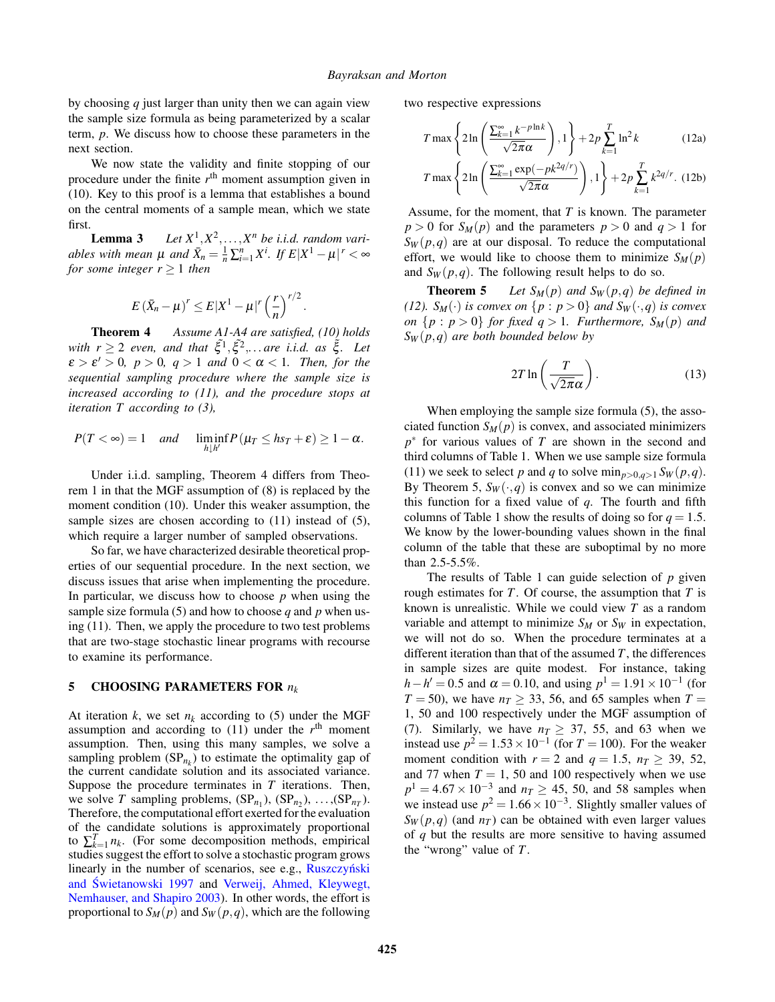by choosing *q* just larger than unity then we can again view the sample size formula as being parameterized by a scalar term, *p*. We discuss how to choose these parameters in the next section.

We now state the validity and finite stopping of our procedure under the finite r<sup>th</sup> moment assumption given in [\(10\)](#page-3-2). Key to this proof is a lemma that establishes a bound on the central moments of a sample mean, which we state first.

Lemma 3 ,*X* 2 ,...,*X <sup>n</sup> be i.i.d. random variables with mean*  $\mu$  *and*  $\bar{X}_n = \frac{1}{n} \sum_{i=1}^n X^i$ . If  $E|X^1 - \mu|^{r} < \infty$ *for some integer*  $r > 1$  *then* 

$$
E\left(\bar{X}_n-\mu\right)^r\leq E|X^1-\mu|^r\left(\frac{r}{n}\right)^{r/2}.
$$

<span id="page-4-0"></span>Theorem 4 *Assume A1-A4 are satisfied, [\(10\)](#page-3-2) holds*  $with \r \geq 2$  *even, and that*  $\xi^{1}, \xi^{2},...$  *are i.i.d. as*  $\xi$ *. Let*  $\varepsilon > \varepsilon' > 0$ ,  $p > 0$ ,  $q > 1$  and  $0 < \alpha < 1$ . Then, for the *sequential sampling procedure where the sample size is increased according to [\(11\)](#page-3-3), and the procedure stops at iteration T according to [\(3\)](#page-2-0),*

$$
P(T < \infty) = 1 \quad \text{and} \quad \liminf_{h \downarrow h'} P(\mu_T \leq h_{ST} + \varepsilon) \geq 1 - \alpha.
$$

Under i.i.d. sampling, Theorem [4](#page-4-0) differs from Theorem [1](#page-3-1) in that the MGF assumption of [\(8\)](#page-3-4) is replaced by the moment condition [\(10\)](#page-3-2). Under this weaker assumption, the sample sizes are chosen according to  $(11)$  instead of  $(5)$ , which require a larger number of sampled observations.

So far, we have characterized desirable theoretical properties of our sequential procedure. In the next section, we discuss issues that arise when implementing the procedure. In particular, we discuss how to choose *p* when using the sample size formula [\(5\)](#page-2-1) and how to choose *q* and *p* when using [\(11\)](#page-3-3). Then, we apply the procedure to two test problems that are two-stage stochastic linear programs with recourse to examine its performance.

## <span id="page-4-3"></span>5 CHOOSING PARAMETERS FOR *n<sup>k</sup>*

At iteration  $k$ , we set  $n_k$  according to [\(5\)](#page-2-1) under the MGF assumption and according to  $(11)$  under the  $r<sup>th</sup>$  moment assumption. Then, using this many samples, we solve a sampling problem  $(SP_{n_k})$  to estimate the optimality gap of the current candidate solution and its associated variance. Suppose the procedure terminates in *T* iterations. Then, we solve *T* sampling problems,  $(SP_{n_1})$ ,  $(SP_{n_2})$ , ...,  $(SP_{n_T})$ . Therefore, the computational effort exerted for the evaluation of the candidate solutions is approximately proportional to  $\sum_{k=1}^{T} n_k$ . (For some decomposition methods, empirical studies suggest the effort to solve a stochastic program grows linearly in the number of scenarios, see e.g., Ruszczyński and [Swietanowski 1997](#page-8-20) and [Verweij, Ahmed, Kleywegt,](#page-8-21) [Nemhauser, and Shapiro 2003\)](#page-8-21). In other words, the effort is proportional to  $S_M(p)$  and  $S_W(p,q)$ , which are the following two respective expressions

<span id="page-4-1"></span>
$$
T \max \left\{ 2 \ln \left( \frac{\sum_{k=1}^{\infty} k^{-p \ln k}}{\sqrt{2\pi \alpha}} \right), 1 \right\} + 2p \sum_{k=1}^{T} \ln^2 k \qquad (12a)
$$

$$
T \max \left\{ 2 \ln \left( \frac{\sum_{k=1}^{\infty} \exp(-pk^{2q/r})}{\sqrt{2\pi \alpha}} \right), 1 \right\} + 2p \sum_{k=1}^{T} k^{2q/r}. \quad (12b)
$$

Assume, for the moment, that *T* is known. The parameter  $p > 0$  for  $S_M(p)$  and the parameters  $p > 0$  and  $q > 1$  for  $S_W(p,q)$  are at our disposal. To reduce the computational effort, we would like to choose them to minimize  $S_M(p)$ and  $S_W(p,q)$ . The following result helps to do so.

<span id="page-4-2"></span>**Theorem 5** Let  $S_M(p)$  and  $S_W(p,q)$  be defined in *[\(12\)](#page-4-1).*  $S_M(\cdot)$  *is convex on*  $\{p : p > 0\}$  *and*  $S_W(\cdot, q)$  *is convex on*  $\{p : p > 0\}$  *for fixed*  $q > 1$ *. Furthermore,*  $S_M(p)$  *and S<sup>W</sup>* (*p*,*q*) *are both bounded below by*

$$
2T \ln \left( \frac{T}{\sqrt{2\pi}\alpha} \right). \tag{13}
$$

When employing the sample size formula  $(5)$ , the associated function  $S_M(p)$  is convex, and associated minimizers *p* ∗ for various values of *T* are shown in the second and third columns of Table [1.](#page-5-0) When we use sample size formula [\(11\)](#page-3-3) we seek to select *p* and *q* to solve  $\min_{p>0, q>1} S_W(p,q)$ . By Theorem [5,](#page-4-2)  $S_W(\cdot, q)$  is convex and so we can minimize this function for a fixed value of *q*. The fourth and fifth columns of Table [1](#page-5-0) show the results of doing so for  $q = 1.5$ . We know by the lower-bounding values shown in the final column of the table that these are suboptimal by no more than 2.5-5.5%.

The results of Table [1](#page-5-0) can guide selection of *p* given rough estimates for *T*. Of course, the assumption that *T* is known is unrealistic. While we could view *T* as a random variable and attempt to minimize  $S_M$  or  $S_W$  in expectation, we will not do so. When the procedure terminates at a different iteration than that of the assumed  $T$ , the differences in sample sizes are quite modest. For instance, taking  $h-h' = 0.5$  and  $\alpha = 0.10$ , and using  $p^1 = 1.91 \times 10^{-1}$  (for *T* = 50), we have  $n_T \ge 33$ , 56, and 65 samples when *T* = 1, 50 and 100 respectively under the MGF assumption of [\(7\)](#page-3-0). Similarly, we have  $n_T \geq 37$ , 55, and 63 when we instead use  $p^2 = 1.53 \times 10^{-1}$  (for  $T = 100$ ). For the weaker moment condition with  $r = 2$  and  $q = 1.5$ ,  $n<sub>T</sub> \ge 39$ , 52, and 77 when  $T = 1$ , 50 and 100 respectively when we use  $p$ <sup>1</sup> = 4.67 × 10<sup>-3</sup> and  $n_T \ge 45$ , 50, and 58 samples when we instead use  $p^2 = 1.66 \times 10^{-3}$ . Slightly smaller values of  $S_W(p,q)$  (and  $n<sub>T</sub>$ ) can be obtained with even larger values of *q* but the results are more sensitive to having assumed the "wrong" value of *T*.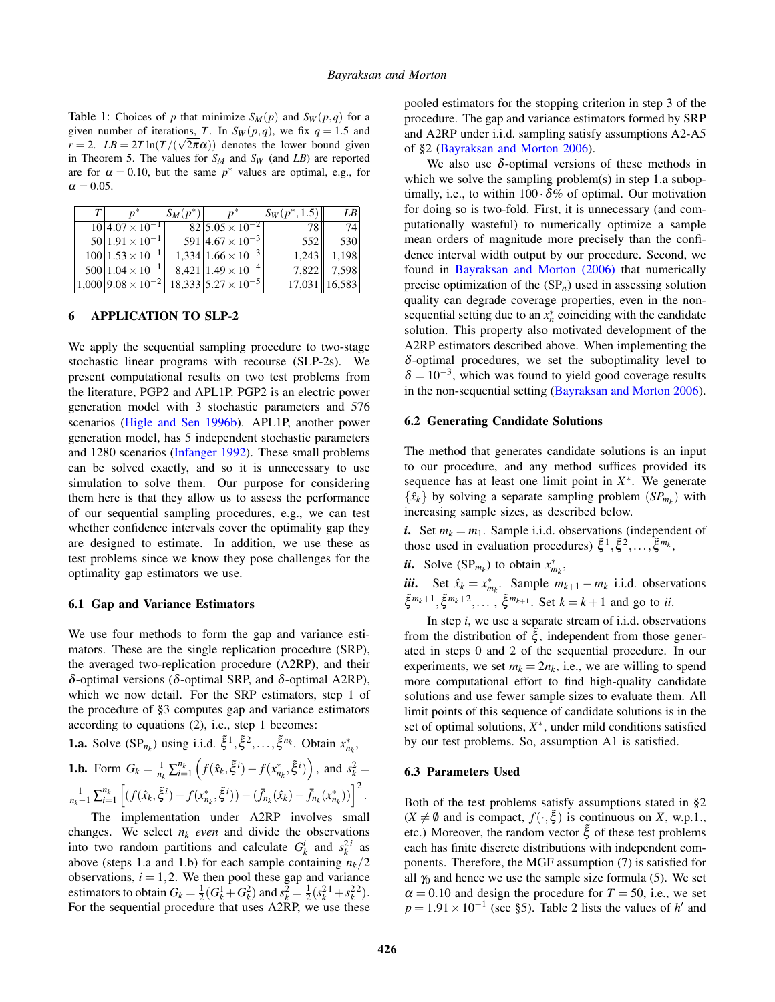<span id="page-5-0"></span>Table 1: Choices of *p* that minimize  $S_M(p)$  and  $S_W(p,q)$  for a given number of iterations, *T*. In *S<sub>W</sub>* (*p*,*q*), we fix *q* = 1.5 and  $r = 2$ .  $LB = 2T \ln(T/(\sqrt{2\pi \alpha}))$  denotes the lower bound given in Theorem [5.](#page-4-2) The values for *SM* and *SW* (and *LB*) are reported are for  $\alpha = 0.10$ , but the same  $p^*$  values are optimal, e.g., for  $\alpha = 0.05$ .

| $n^*$                       | $S_M(p^*)$ | $n^*$                          | $S_W(p^*, 1.5)$ | LB              |
|-----------------------------|------------|--------------------------------|-----------------|-----------------|
| $10 4.07 \times 10^{-1}$    |            | $82 5.05\times10^{-2} $        | 781             | 74              |
| $50 1.91 \times 10^{-1}$    |            | $591 4.67\times10^{-3} $       | 552             | 530             |
| $100 1.53\times10^{-1}$     |            | $1,334$ $1.66 \times 10^{-3}$  | 1.243           | 1.198           |
| $500 1.04 \times 10^{-1}$   |            | $8,421 1.49\times10^{-4}$      | 7,822           | 7.598           |
| $ 1,000 9.08\times10^{-2} $ |            | $18,333$ $5.27 \times 10^{-5}$ |                 | 17,031   16,583 |

#### 6 APPLICATION TO SLP-2

We apply the sequential sampling procedure to two-stage stochastic linear programs with recourse (SLP-2s). We present computational results on two test problems from the literature, PGP2 and APL1P. PGP2 is an electric power generation model with 3 stochastic parameters and 576 scenarios [\(Higle and Sen 1996b\)](#page-8-10). APL1P, another power generation model, has 5 independent stochastic parameters and 1280 scenarios [\(Infanger 1992\)](#page-8-9). These small problems can be solved exactly, and so it is unnecessary to use simulation to solve them. Our purpose for considering them here is that they allow us to assess the performance of our sequential sampling procedures, e.g., we can test whether confidence intervals cover the optimality gap they are designed to estimate. In addition, we use these as test problems since we know they pose challenges for the optimality gap estimators we use.

## 6.1 Gap and Variance Estimators

We use four methods to form the gap and variance estimators. These are the single replication procedure (SRP), the averaged two-replication procedure (A2RP), and their δ-optimal versions (δ-optimal SRP, and δ-optimal A2RP), which we now detail. For the SRP estimators, step 1 of the procedure of [§3](#page-2-3) computes gap and variance estimators according to equations [\(2\)](#page-2-4), i.e., step 1 becomes:

**1.a.** Solve  $(\text{SP}_{n_k})$  using i.i.d.  $\tilde{\xi}^1, \tilde{\xi}^2, \dots, \tilde{\xi}^{n_k}$ . Obtain  $x_{n_k}^*$ , **1.b.** Form  $G_k = \frac{1}{n_k} \sum_{i=1}^{n_k} \left( f(\hat{x}_k, \tilde{\xi}^i) - f(x_{n_k}^*, \tilde{\xi}^i) \right)$ , and  $s_k^2 =$  $\frac{1}{n_k-1}\sum_{i=1}^{n_k} \left[ (f(\hat{x}_k,\tilde{\xi}^i) - f(x_{n_k}^*,\tilde{\xi}^i)) - (\bar{f}_{n_k}(\hat{x}_k) - \bar{f}_{n_k}(x_{n_k}^*)) \right]^2.$ 

The implementation under A2RP involves small changes. We select  $n_k$  *even* and divide the observations into two random partitions and calculate  $G_k^i$  and  $s_k^{2i}$  as above (steps 1.a and 1.b) for each sample containing *nk*/2 observations,  $i = 1, 2$ . We then pool these gap and variance estimators to obtain  $G_k = \frac{1}{2}(G_k^1 + G_k^2)$  and  $s_k^2 = \frac{1}{2}(s_k^2 + s_k^2 + s_k^2)$ . For the sequential procedure that uses A2RP, we use these pooled estimators for the stopping criterion in step 3 of the procedure. The gap and variance estimators formed by SRP and A2RP under i.i.d. sampling satisfy assumptions A2-A5 of [§2](#page-1-1) [\(Bayraksan and Morton 2006\)](#page-7-5).

We also use  $\delta$ -optimal versions of these methods in which we solve the sampling problem(s) in step 1.a suboptimally, i.e., to within  $100 \cdot \delta\%$  of optimal. Our motivation for doing so is two-fold. First, it is unnecessary (and computationally wasteful) to numerically optimize a sample mean orders of magnitude more precisely than the confidence interval width output by our procedure. Second, we found in [Bayraksan and Morton \(2006\)](#page-7-5) that numerically precise optimization of the (SP*n*) used in assessing solution quality can degrade coverage properties, even in the nonsequential setting due to an  $x_n^*$  coinciding with the candidate solution. This property also motivated development of the A2RP estimators described above. When implementing the  $\delta$ -optimal procedures, we set the suboptimality level to  $\delta = 10^{-3}$ , which was found to yield good coverage results in the non-sequential setting [\(Bayraksan and Morton 2006\)](#page-7-5).

#### 6.2 Generating Candidate Solutions

The method that generates candidate solutions is an input to our procedure, and any method suffices provided its sequence has at least one limit point in  $X^*$ . We generate  ${x_k}$  by solving a separate sampling problem  $(SP_{m_k})$  with increasing sample sizes, as described below.

*i*. Set  $m_k = m_1$ . Sample i.i.d. observations (independent of those used in evaluation procedures)  $\tilde{\xi}^1, \tilde{\xi}^2, \ldots, \tilde{\xi}^{m_k}$ ,

*ii*. Solve  $(SP_{m_k})$  to obtain  $x_{m_k}^*$ ,

*iii*. Set  $\hat{x}_k = x_{m_k}^*$ . Sample  $m_{k+1} - m_k$  i.i.d. observations  $\tilde{\xi}^{m_k+1}, \tilde{\xi}^{m_k+2}, \dots, \tilde{\xi}^{m_{k+1}}$ . Set  $k = k+1$  and go to *ii*.

In step *i*, we use a separate stream of i.i.d. observations from the distribution of  $\xi$ , independent from those generated in steps 0 and 2 of the sequential procedure. In our experiments, we set  $m_k = 2n_k$ , i.e., we are willing to spend more computational effort to find high-quality candidate solutions and use fewer sample sizes to evaluate them. All limit points of this sequence of candidate solutions is in the set of optimal solutions,  $X^*$ , under mild conditions satisfied by our test problems. So, assumption A1 is satisfied.

## 6.3 Parameters Used

Both of the test problems satisfy assumptions stated in [§2](#page-1-1)  $(X \neq \emptyset$  and is compact,  $f(\cdot, \tilde{\xi})$  is continuous on *X*, w.p.1., etc.) Moreover, the random vector  $\ddot{\xi}$  of these test problems each has finite discrete distributions with independent components. Therefore, the MGF assumption [\(7\)](#page-3-0) is satisfied for all  $\gamma_0$  and hence we use the sample size formula [\(5\)](#page-2-1). We set  $\alpha = 0.10$  and design the procedure for  $T = 50$ , i.e., we set  $p = 1.91 \times 10^{-1}$  (see [§5\)](#page-4-3). Table [2](#page-6-0) lists the values of *h*<sup>1</sup> and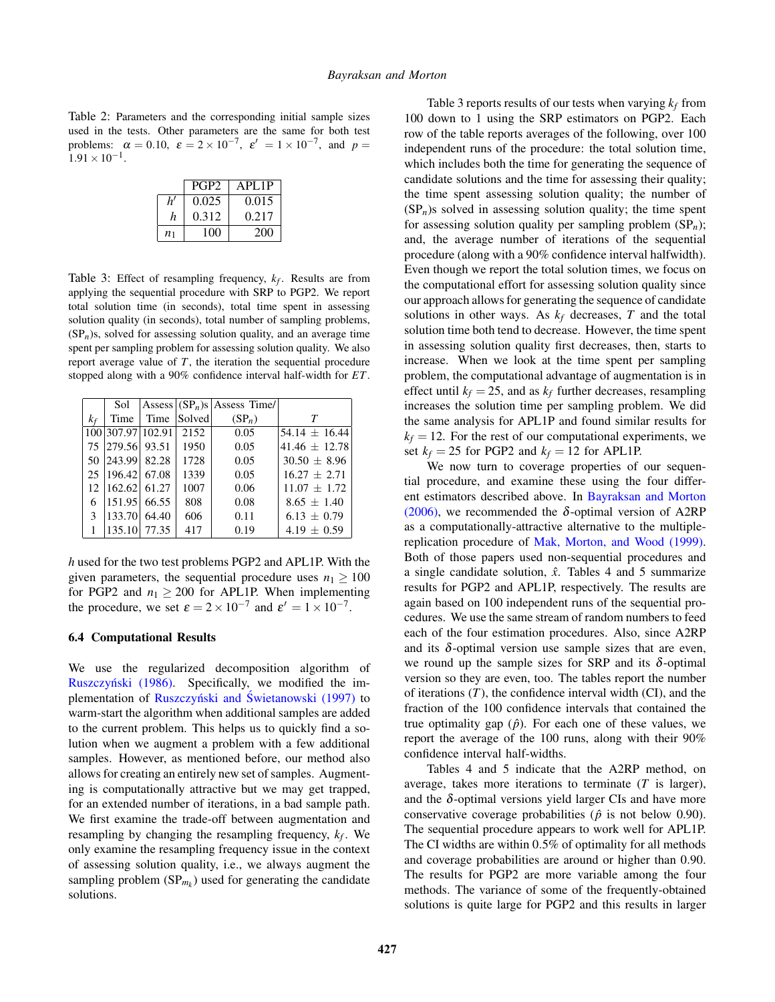<span id="page-6-0"></span>Table 2: Parameters and the corresponding initial sample sizes used in the tests. Other parameters are the same for both test problems:  $\alpha = 0.10$ ,  $\varepsilon = 2 \times 10^{-7}$ ,  $\varepsilon' = 1 \times 10^{-7}$ , and  $p =$  $1.91 \times 10^{-1}$ .

|       | PGP <sub>2</sub> | APL1P |
|-------|------------------|-------|
| h'    | 0.025            | 0.015 |
| h.    | 0.312            | 0.217 |
| $n_1$ | 100              | 200   |

<span id="page-6-1"></span>Table 3: Effect of resampling frequency, *k<sup>f</sup>* . Results are from applying the sequential procedure with SRP to PGP2. We report total solution time (in seconds), total time spent in assessing solution quality (in seconds), total number of sampling problems,  $(SP_n)$ s, solved for assessing solution quality, and an average time spent per sampling problem for assessing solution quality. We also report average value of *T*, the iteration the sequential procedure stopped along with a 90% confidence interval half-width for *ET*.

|       | Sol                 |             | $ Assess $ (SP <sub>n</sub> )s   Assess Time/ |                   |
|-------|---------------------|-------------|-----------------------------------------------|-------------------|
| $k_f$ | Time                | Time Solved | $(SP_n)$                                      | T                 |
|       | 100 307.97 102.91   | 2152        | 0.05                                          | $54.14 \pm 16.44$ |
|       | 75 279.56 93.51     | 1950        | 0.05                                          | $41.46 \pm 12.78$ |
| 50    | 243.99 82.28        | 1728        | 0.05                                          | $30.50 \pm 8.96$  |
|       | 25   196.42   67.08 | 1339        | 0.05                                          | $16.27 + 2.71$    |
|       | 12   162.62   61.27 | 1007        | 0.06                                          | $11.07 + 1.72$    |
| 6     | 151.95 66.55        | 808         | 0.08                                          | $8.65 \pm 1.40$   |
| 3     | $ 133.70 $ 64.40    | 606         | 0.11                                          | $6.13 \pm 0.79$   |
|       | 135.10 77.35        | 417         | 0.19                                          | $4.19 \pm 0.59$   |

*h* used for the two test problems PGP2 and APL1P. With the given parameters, the sequential procedure uses  $n_1 \geq 100$ for PGP2 and  $n_1 \geq 200$  for APL1P. When implementing the procedure, we set  $\varepsilon = 2 \times 10^{-7}$  and  $\varepsilon' = 1 \times 10^{-7}$ .

#### 6.4 Computational Results

We use the regularized decomposition algorithm of Ruszczyński (1986). Specifically, we modified the implementation of Ruszczyński and Świetanowski (1997) to warm-start the algorithm when additional samples are added to the current problem. This helps us to quickly find a solution when we augment a problem with a few additional samples. However, as mentioned before, our method also allows for creating an entirely new set of samples. Augmenting is computationally attractive but we may get trapped, for an extended number of iterations, in a bad sample path. We first examine the trade-off between augmentation and resampling by changing the resampling frequency, *k<sup>f</sup>* . We only examine the resampling frequency issue in the context of assessing solution quality, i.e., we always augment the sampling problem (SP*m<sup>k</sup>* ) used for generating the candidate solutions.

Table [3](#page-6-1) reports results of our tests when varying *k<sup>f</sup>* from 100 down to 1 using the SRP estimators on PGP2. Each row of the table reports averages of the following, over 100 independent runs of the procedure: the total solution time, which includes both the time for generating the sequence of candidate solutions and the time for assessing their quality; the time spent assessing solution quality; the number of  $(SP_n)$ s solved in assessing solution quality; the time spent for assessing solution quality per sampling problem (SP*n*); and, the average number of iterations of the sequential procedure (along with a 90% confidence interval halfwidth). Even though we report the total solution times, we focus on the computational effort for assessing solution quality since our approach allows for generating the sequence of candidate solutions in other ways. As  $k_f$  decreases,  $T$  and the total solution time both tend to decrease. However, the time spent in assessing solution quality first decreases, then, starts to increase. When we look at the time spent per sampling problem, the computational advantage of augmentation is in effect until  $k_f = 25$ , and as  $k_f$  further decreases, resampling increases the solution time per sampling problem. We did the same analysis for APL1P and found similar results for  $k_f = 12$ . For the rest of our computational experiments, we set  $k_f = 25$  for PGP2 and  $k_f = 12$  for APL1P.

We now turn to coverage properties of our sequential procedure, and examine these using the four different estimators described above. In [Bayraksan and Morton](#page-7-5) [\(2006\),](#page-7-5) we recommended the  $\delta$ -optimal version of A2RP as a computationally-attractive alternative to the multiplereplication procedure of [Mak, Morton, and Wood \(1999\).](#page-8-19) Both of those papers used non-sequential procedures and a single candidate solution,  $\hat{x}$ . Tables [4](#page-7-7) and [5](#page-7-8) summarize results for PGP2 and APL1P, respectively. The results are again based on 100 independent runs of the sequential procedures. We use the same stream of random numbers to feed each of the four estimation procedures. Also, since A2RP and its  $\delta$ -optimal version use sample sizes that are even, we round up the sample sizes for SRP and its  $\delta$ -optimal version so they are even, too. The tables report the number of iterations (*T*), the confidence interval width (CI), and the fraction of the 100 confidence intervals that contained the true optimality gap  $(\hat{p})$ . For each one of these values, we report the average of the 100 runs, along with their 90% confidence interval half-widths.

Tables [4](#page-7-7) and [5](#page-7-8) indicate that the A2RP method, on average, takes more iterations to terminate (*T* is larger), and the  $\delta$ -optimal versions yield larger CIs and have more conservative coverage probabilities ( $\hat{p}$  is not below 0.90). The sequential procedure appears to work well for APL1P. The CI widths are within 0.5% of optimality for all methods and coverage probabilities are around or higher than 0.90. The results for PGP2 are more variable among the four methods. The variance of some of the frequently-obtained solutions is quite large for PGP2 and this results in larger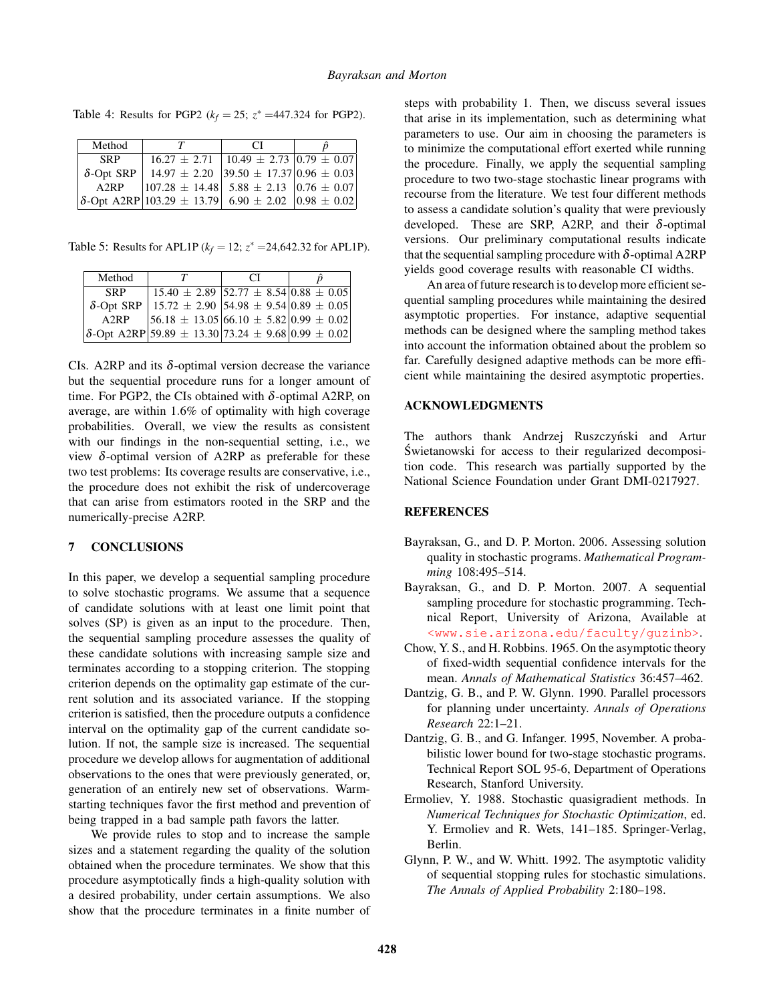| Method     |                                                                            | CI                                                    |  |
|------------|----------------------------------------------------------------------------|-------------------------------------------------------|--|
| <b>SRP</b> |                                                                            | $16.27 \pm 2.71$   10.49 $\pm$ 2.73   0.79 $\pm$ 0.07 |  |
|            | $\delta$ -Opt SRP   14.97 $\pm$ 2.20   39.50 $\pm$ 17.37   0.96 $\pm$ 0.03 |                                                       |  |
| A2RP       | $ 107.28 \pm 14.48 $ 5.88 $\pm$ 2.13 $ 0.76 \pm 0.07 $                     |                                                       |  |
|            | $ \delta$ -Opt A2RP 103.29 ± 13.79  6.90 ± 2.02 $ 0.98 \pm 0.02 $          |                                                       |  |

<span id="page-7-7"></span>Table 4: Results for PGP2  $(k_f = 25; z^* = 447.324$  for PGP2).

Table 5: Results for APL1P ( $k_f = 12$ ;  $z^* = 24,642.32$  for APL1P).

<span id="page-7-8"></span>

| Method            |                                                           | $\cap$ |  |
|-------------------|-----------------------------------------------------------|--------|--|
| <b>SRP</b>        | $15.40 \pm 2.89$ 52.77 $\pm$ 8.54 0.88 $\pm$ 0.05         |        |  |
| $\delta$ -Opt SRP | $15.72 \pm 2.90$ 54.98 $\pm$ 9.54 0.89 $\pm$ 0.05         |        |  |
| A2RP              | $56.18 \pm 13.05\,66.10 \pm 5.82\,0.99 \pm 0.02$          |        |  |
|                   | $\delta$ -Opt A2RP 59.89 ± 13.30 73.24 ± 9.68 0.99 ± 0.02 |        |  |

CIs. A2RP and its  $\delta$ -optimal version decrease the variance but the sequential procedure runs for a longer amount of time. For PGP2, the CIs obtained with  $\delta$ -optimal A2RP, on average, are within 1.6% of optimality with high coverage probabilities. Overall, we view the results as consistent with our findings in the non-sequential setting, i.e., we view δ-optimal version of A2RP as preferable for these two test problems: Its coverage results are conservative, i.e., the procedure does not exhibit the risk of undercoverage that can arise from estimators rooted in the SRP and the numerically-precise A2RP.

## 7 CONCLUSIONS

In this paper, we develop a sequential sampling procedure to solve stochastic programs. We assume that a sequence of candidate solutions with at least one limit point that solves (SP) is given as an input to the procedure. Then, the sequential sampling procedure assesses the quality of these candidate solutions with increasing sample size and terminates according to a stopping criterion. The stopping criterion depends on the optimality gap estimate of the current solution and its associated variance. If the stopping criterion is satisfied, then the procedure outputs a confidence interval on the optimality gap of the current candidate solution. If not, the sample size is increased. The sequential procedure we develop allows for augmentation of additional observations to the ones that were previously generated, or, generation of an entirely new set of observations. Warmstarting techniques favor the first method and prevention of being trapped in a bad sample path favors the latter.

We provide rules to stop and to increase the sample sizes and a statement regarding the quality of the solution obtained when the procedure terminates. We show that this procedure asymptotically finds a high-quality solution with a desired probability, under certain assumptions. We also show that the procedure terminates in a finite number of steps with probability 1. Then, we discuss several issues that arise in its implementation, such as determining what parameters to use. Our aim in choosing the parameters is to minimize the computational effort exerted while running the procedure. Finally, we apply the sequential sampling procedure to two two-stage stochastic linear programs with recourse from the literature. We test four different methods to assess a candidate solution's quality that were previously developed. These are SRP, A2RP, and their  $\delta$ -optimal versions. Our preliminary computational results indicate that the sequential sampling procedure with  $\delta$ -optimal A2RP yields good coverage results with reasonable CI widths.

An area of future research is to develop more efficient sequential sampling procedures while maintaining the desired asymptotic properties. For instance, adaptive sequential methods can be designed where the sampling method takes into account the information obtained about the problem so far. Carefully designed adaptive methods can be more efficient while maintaining the desired asymptotic properties.

# ACKNOWLEDGMENTS

The authors thank Andrzej Ruszczyński and Artur Swietanowski for access to their regularized decomposi- ´ tion code. This research was partially supported by the National Science Foundation under Grant DMI-0217927.

## REFERENCES

- <span id="page-7-5"></span>Bayraksan, G., and D. P. Morton. 2006. Assessing solution quality in stochastic programs. *Mathematical Programming* 108:495–514.
- <span id="page-7-6"></span>Bayraksan, G., and D. P. Morton. 2007. A sequential sampling procedure for stochastic programming. Technical Report, University of Arizona, Available at [<www.sie.arizona.edu/faculty/guzinb>](http://www.sie.arizona.edu/faculty/guzinb).
- <span id="page-7-0"></span>Chow, Y. S., and H. Robbins. 1965. On the asymptotic theory of fixed-width sequential confidence intervals for the mean. *Annals of Mathematical Statistics* 36:457–462.
- <span id="page-7-3"></span>Dantzig, G. B., and P. W. Glynn. 1990. Parallel processors for planning under uncertainty. *Annals of Operations Research* 22:1–21.
- <span id="page-7-4"></span>Dantzig, G. B., and G. Infanger. 1995, November. A probabilistic lower bound for two-stage stochastic programs. Technical Report SOL 95-6, Department of Operations Research, Stanford University.
- <span id="page-7-2"></span>Ermoliev, Y. 1988. Stochastic quasigradient methods. In *Numerical Techniques for Stochastic Optimization*, ed. Y. Ermoliev and R. Wets, 141–185. Springer-Verlag, Berlin.
- <span id="page-7-1"></span>Glynn, P. W., and W. Whitt. 1992. The asymptotic validity of sequential stopping rules for stochastic simulations. *The Annals of Applied Probability* 2:180–198.